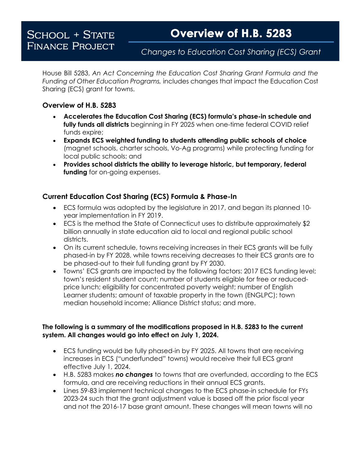## Changes to Education Cost Sharing (ECS) Grant

House Bill 5283, *An Act Concerning the Education Cost Sharing Grant Formula and the Funding of Other Education Programs,* includes changes that impact the Education Cost Sharing (ECS) grant for towns.

## **Overview of H.B. 5283**

- **Accelerates the Education Cost Sharing (ECS) formula's phase-in schedule and fully funds all districts** beginning in FY 2025 when one-time federal COVID relief funds expire;
- **Expands ECS weighted funding to students attending public schools of choice**  (magnet schools, charter schools, Vo-Ag programs) while protecting funding for local public schools; and
- **Provides school districts the ability to leverage historic, but temporary, federal funding** for on-going expenses.

## **Current Education Cost Sharing (ECS) Formula & Phase-In**

- ECS formula was adopted by the legislature in 2017, and began its planned 10 year implementation in FY 2019.
- ECS is the method the State of Connecticut uses to distribute approximately \$2 billion annually in state education aid to local and regional public school districts.
- On its current schedule, towns receiving increases in their ECS grants will be fully phased-in by FY 2028, while towns receiving decreases to their ECS grants are to be phased-out to their full funding grant by FY 2030.
- Towns' ECS grants are impacted by the following factors: 2017 ECS funding level; town's resident student count; number of students eligible for free or reducedprice lunch; eligibility for concentrated poverty weight; number of English Learner students; amount of taxable property in the town (ENGLPC); town median household income; Alliance District status; and more.

## **The following is a summary of the modifications proposed in H.B. 5283 to the current system. All changes would go into effect on July 1, 2024.**

- ECS funding would be fully phased-in by FY 2025. All towns that are receiving increases in ECS ("underfunded" towns) would receive their full ECS grant effective July 1, 2024.
- H.B. 5283 makes *no changes* to towns that are overfunded, according to the ECS formula, and are receiving reductions in their annual ECS grants.
- Lines 59-83 implement technical changes to the ECS phase-in schedule for FYs 2023-24 such that the grant adjustment value is based off the prior fiscal year and not the 2016-17 base grant amount. These changes will mean towns will no